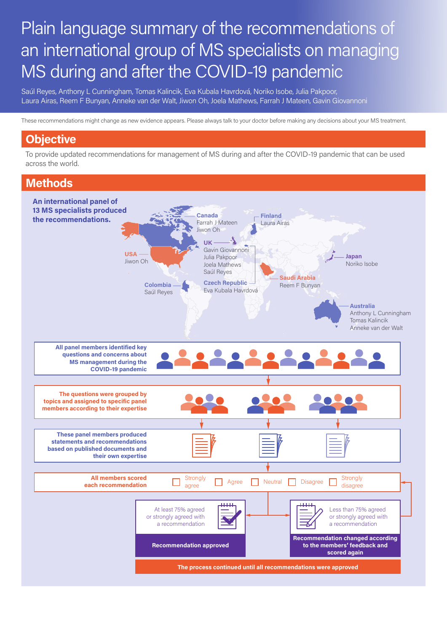# Plain language summary of the recommendations of an international group of MS specialists on managing MS during and after the COVID-19 pandemic

Saúl Reyes, Anthony L Cunningham, Tomas Kalincik, Eva Kubala Havrdová, Noriko Isobe, Julia Pakpoor, Laura Airas, Reem F Bunyan, Anneke van der Walt, Jiwon Oh, Joela Mathews, Farrah J Mateen, Gavin Giovannoni

These recommendations might change as new evidence appears. Please always talk to your doctor before making any decisions about your MS treatment.

# **Objective**

To provide updated recommendations for management of MS during and after the COVID-19 pandemic that can be used across the world.

# **Methods**

JO - Department of Neurology, Johns Hopkins University, Baltimore, MD, USA